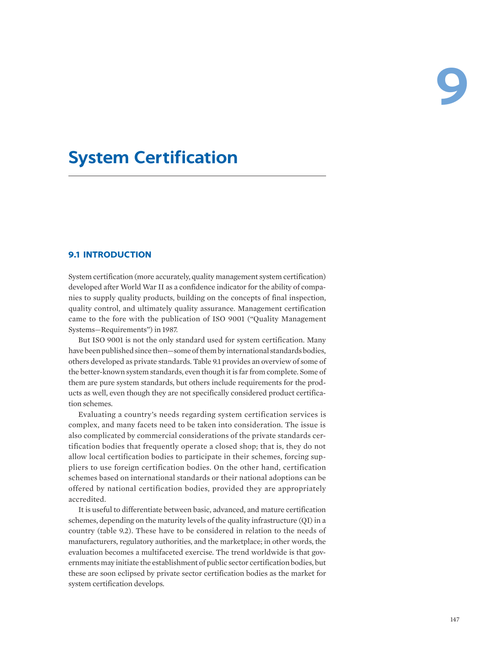# **System Certification**

### **9.1 INTRODUCTION**

System certification (more accurately, quality management system certification) developed after World War II as a confidence indicator for the ability of companies to supply quality products, building on the concepts of final inspection, quality control, and ultimately quality assurance. Management certification came to the fore with the publication of ISO 9001 ("Quality Management Systems—Requirements") in 1987.

But ISO 9001 is not the only standard used for system certification. Many have been published since then—some of them by international standards bodies, others developed as private standards. Table 9.1 provides an overview of some of the better-known system standards, even though it is far from complete. Some of them are pure system standards, but others include requirements for the products as well, even though they are not specifically considered product certification schemes.

Evaluating a country's needs regarding system certification services is complex, and many facets need to be taken into consideration. The issue is also complicated by commercial considerations of the private standards certification bodies that frequently operate a closed shop; that is, they do not allow local certification bodies to participate in their schemes, forcing suppliers to use foreign certification bodies. On the other hand, certification schemes based on international standards or their national adoptions can be offered by national certification bodies, provided they are appropriately accredited.

It is useful to differentiate between basic, advanced, and mature certification schemes, depending on the maturity levels of the quality infrastructure (QI) in a country (table 9.2). These have to be considered in relation to the needs of manufacturers, regulatory authorities, and the marketplace; in other words, the evaluation becomes a multifaceted exercise. The trend worldwide is that governments may initiate the establishment of public sector certification bodies, but these are soon eclipsed by private sector certification bodies as the market for system certification develops.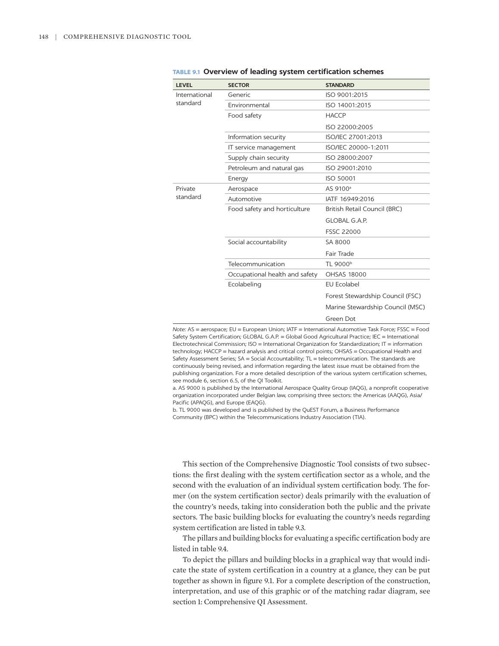| <b>LEVEL</b>  | <b>SECTOR</b>                  | <b>STANDARD</b>                                                                                     |  |
|---------------|--------------------------------|-----------------------------------------------------------------------------------------------------|--|
| International | Generic                        | ISO 9001:2015                                                                                       |  |
| standard      | Environmental                  | ISO 14001:2015                                                                                      |  |
|               | Food safety                    | <b>HACCP</b>                                                                                        |  |
|               |                                | ISO 22000:2005                                                                                      |  |
|               | Information security           | ISO/IEC 27001:2013                                                                                  |  |
|               | IT service management          | ISO/IEC 20000-1:2011                                                                                |  |
|               | Supply chain security          | ISO 28000:2007                                                                                      |  |
|               | Petroleum and natural gas      | ISO 29001:2010                                                                                      |  |
|               | Energy                         | ISO 50001                                                                                           |  |
| Private       | Aerospace                      | AS 9100 <sup>a</sup>                                                                                |  |
| standard      | Automotive                     | IATF 16949:2016                                                                                     |  |
|               | Food safety and horticulture   | British Retail Council (BRC)                                                                        |  |
|               |                                | <b>GLOBAL G.A.P.</b>                                                                                |  |
|               |                                | <b>FSSC 22000</b>                                                                                   |  |
|               | Social accountability          | SA 8000                                                                                             |  |
|               |                                | Fair Trade                                                                                          |  |
|               | Telecommunication              | TL 9000 <sup>b</sup>                                                                                |  |
|               | Occupational health and safety | <b>OHSAS 18000</b>                                                                                  |  |
|               | Ecolabeling                    | <b>EU Ecolabel</b>                                                                                  |  |
|               |                                | Forest Stewardship Council (FSC)                                                                    |  |
|               |                                | Marine Stewardship Council (MSC)                                                                    |  |
|               |                                | Green Dot                                                                                           |  |
|               |                                | Note: AS — aerospace: ELL — European Union: IATE — International Automotive Task Eorce: ESSC — Eood |  |

|  |  |  |  |  | <b>TABLE 9.1 Overview of leading system certification schemes</b> |  |
|--|--|--|--|--|-------------------------------------------------------------------|--|
|--|--|--|--|--|-------------------------------------------------------------------|--|

*Note:* AS = aerospace; EU = European Union; IATF = International Automotive Task Force; FSSC = Food Safety System Certification; GLOBAL G.A.P. = Global Good Agricultural Practice; IEC = International Electrotechnical Commission; ISO = International Organization for Standardization; IT = information technology; HACCP = hazard analysis and critical control points; OHSAS = Occupational Health and Safety Assessment Series; SA = Social Accountability; TL = telecommunication. The standards are continuously being revised, and information regarding the latest issue must be obtained from the publishing organization. For a more detailed description of the various system certification schemes, see module 6, section 6.5, of the QI Toolkit.

a. AS 9000 is published by the International Aerospace Quality Group (IAQG), a nonprofit cooperative organization incorporated under Belgian law, comprising three sectors: the Americas (AAQG), Asia/ Pacific (APAQG), and Europe (EAQG).

b. TL 9000 was developed and is published by the QuEST Forum, a Business Performance Community (BPC) within the Telecommunications Industry Association (TIA).

This section of the Comprehensive Diagnostic Tool consists of two subsections: the first dealing with the system certification sector as a whole, and the second with the evaluation of an individual system certification body. The former (on the system certification sector) deals primarily with the evaluation of the country's needs, taking into consideration both the public and the private sectors. The basic building blocks for evaluating the country's needs regarding system certification are listed in table 9.3.

The pillars and building blocks for evaluating a specific certification body are listed in table 9.4.

To depict the pillars and building blocks in a graphical way that would indicate the state of system certification in a country at a glance, they can be put together as shown in figure 9.1. For a complete description of the construction, interpretation, and use of this graphic or of the matching radar diagram, see section 1: Comprehensive QI Assessment.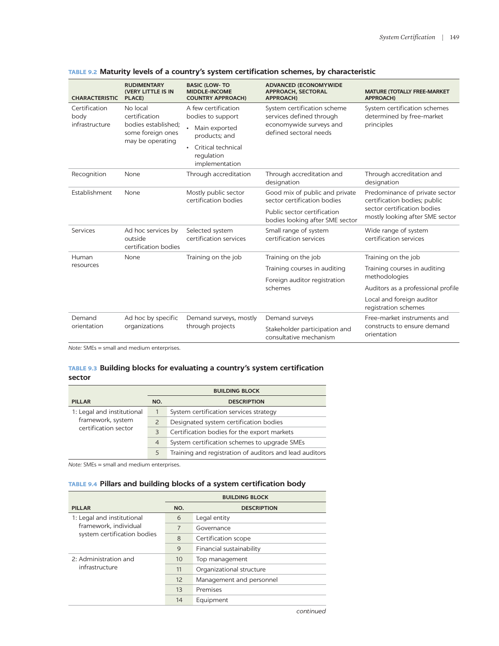| <b>CHARACTERISTIC</b> | <b>RUDIMENTARY</b><br>(VERY LITTLE IS IN<br>PLACE)           | <b>BASIC (LOW-TO)</b><br><b>MIDDLE-INCOME</b><br><b>COUNTRY APPROACH)</b> | <b>ADVANCED (ECONOMYWIDE</b><br><b>APPROACH, SECTORAL</b><br><b>APPROACH)</b> | <b>MATURE (TOTALLY FREE-MARKET</b><br><b>APPROACH)</b>                  |  |
|-----------------------|--------------------------------------------------------------|---------------------------------------------------------------------------|-------------------------------------------------------------------------------|-------------------------------------------------------------------------|--|
| Certification<br>body | No local<br>certification                                    | A few certification<br>bodies to support                                  | System certification scheme<br>services defined through                       | System certification schemes<br>determined by free-market<br>principles |  |
| infrastructure        | bodies established:<br>some foreign ones<br>may be operating | Main exported<br>products; and                                            | economywide surveys and<br>defined sectoral needs                             |                                                                         |  |
|                       |                                                              | Critical technical<br>$\bullet$<br>regulation<br>implementation           |                                                                               |                                                                         |  |
| Recognition           | None                                                         | Through accreditation                                                     | Through accreditation and<br>designation                                      | Through accreditation and<br>designation                                |  |
| Establishment<br>None |                                                              | Mostly public sector<br>certification bodies                              | Good mix of public and private<br>sector certification bodies                 | Predominance of private sector<br>certification bodies; public          |  |
|                       |                                                              | Public sector certification<br>bodies looking after SME sector            | sector certification bodies<br>mostly looking after SME sector                |                                                                         |  |
| Services              | Ad hoc services by<br>outside<br>certification bodies        | Selected system<br>certification services                                 | Small range of system<br>certification services                               | Wide range of system<br>certification services                          |  |
| Human                 | None                                                         | Training on the job                                                       | Training on the job                                                           | Training on the job                                                     |  |
| resources             |                                                              |                                                                           | Training courses in auditing                                                  | Training courses in auditing                                            |  |
|                       |                                                              |                                                                           | Foreign auditor registration<br>schemes                                       | methodologies                                                           |  |
|                       |                                                              |                                                                           |                                                                               | Auditors as a professional profile                                      |  |
|                       |                                                              |                                                                           |                                                                               | Local and foreign auditor<br>registration schemes                       |  |
| Demand<br>orientation | Ad hoc by specific                                           | Demand surveys, mostly                                                    | Demand surveys                                                                | Free-market instruments and                                             |  |
|                       | organizations                                                | through projects                                                          | Stakeholder participation and<br>consultative mechanism                       | constructs to ensure demand<br>orientation                              |  |

| TABLE 9.2 Maturity levels of a country's system certification schemes, by characteristic |  |  |  |  |  |
|------------------------------------------------------------------------------------------|--|--|--|--|--|
|------------------------------------------------------------------------------------------|--|--|--|--|--|

*Note:* SMEs = small and medium enterprises.

### **TABLE 9.3 Building blocks for evaluating a country's system certification sector**

|                            |                | <b>BUILDING BLOCK</b>                                   |
|----------------------------|----------------|---------------------------------------------------------|
| <b>PILLAR</b>              | NO.            | <b>DESCRIPTION</b>                                      |
| 1: Legal and institutional |                | System certification services strategy                  |
| framework, system          | $\overline{2}$ | Designated system certification bodies                  |
| certification sector       | 3              | Certification bodies for the export markets             |
|                            | $\overline{4}$ | System certification schemes to upgrade SMEs            |
|                            | 5              | Training and registration of auditors and lead auditors |

*Note:* SMEs = small and medium enterprises.

### **TABLE 9.4 Pillars and building blocks of a system certification body**

|                                         |     | <b>BUILDING BLOCK</b>    |
|-----------------------------------------|-----|--------------------------|
| <b>PILLAR</b>                           | NO. | <b>DESCRIPTION</b>       |
| 1: Legal and institutional              | 6   | Legal entity             |
| framework, individual                   | 7   | Governance               |
| system certification bodies             | 8   | Certification scope      |
|                                         | 9   | Financial sustainability |
| 2: Administration and<br>infrastructure | 10  | Top management           |
|                                         | 11  | Organizational structure |
|                                         | 12  | Management and personnel |
|                                         | 13  | Premises                 |
|                                         | 14  | Equipment                |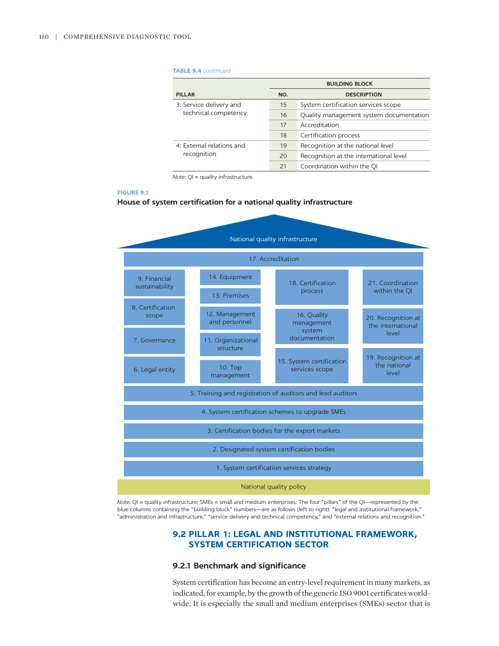#### **TABLE 9.4** *continued*

|                           | <b>BUILDING BLOCK</b> |                                         |
|---------------------------|-----------------------|-----------------------------------------|
| <b>PILLAR</b>             | NO.                   | <b>DESCRIPTION</b>                      |
| 3: Service delivery and   | 15                    | System certification services scope     |
| technical competency      | 16                    | Quality management system documentation |
|                           | 17                    | Accreditation                           |
|                           | 18                    | Certification process                   |
| 4: External relations and | 19                    | Recognition at the national level       |
| recognition               | 20                    | Recognition at the international level  |
|                           | 21                    | Coordination within the QI              |

*Note:* QI = quality infrastructure.

#### **FIGURE 9.1**

### **House of system certification for a national quality infrastructure**



*Note:* QI = quality infrastructure; SMEs = small and medium enterprises. The four "pillars" of the QI—represented by the blue columns containing the "building block" numbers—are as follows (left to right): "legal and institutional framework," "administration and infrastructure," "service delivery and technical competency," and "external relations and recognition."

### **9.2 PILLAR 1: LEGAL AND INSTITUTIONAL FRAMEWORK, SYSTEM CERTIFICATION SECTOR**

### **9.2.1 Benchmark and significance**

System certification has become an entry-level requirement in many markets, as indicated, for example, by the growth of the generic ISO 9001 certificates worldwide. It is especially the small and medium enterprises (SMEs) sector that is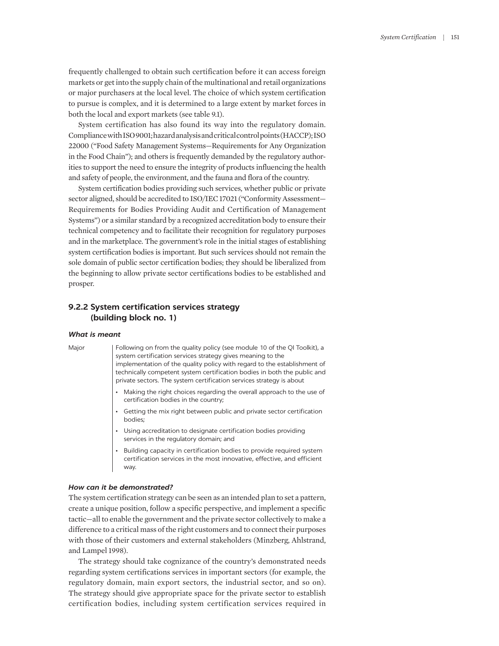frequently challenged to obtain such certification before it can access foreign markets or get into the supply chain of the multinational and retail organizations or major purchasers at the local level. The choice of which system certification to pursue is complex, and it is determined to a large extent by market forces in both the local and export markets (see table 9.1).

System certification has also found its way into the regulatory domain. Compliance with ISO 9001; hazard analysis and critical control points (HACCP); ISO 22000 ("Food Safety Management Systems—Requirements for Any Organization in the Food Chain"); and others is frequently demanded by the regulatory authorities to support the need to ensure the integrity of products influencing the health and safety of people, the environment, and the fauna and flora of the country.

System certification bodies providing such services, whether public or private sector aligned, should be accredited to ISO/IEC 17021 ("Conformity Assessment— Requirements for Bodies Providing Audit and Certification of Management Systems") or a similar standard by a recognized accreditation body to ensure their technical competency and to facilitate their recognition for regulatory purposes and in the marketplace. The government's role in the initial stages of establishing system certification bodies is important. But such services should not remain the sole domain of public sector certification bodies; they should be liberalized from the beginning to allow private sector certifications bodies to be established and prosper.

### **9.2.2 System certification services strategy (building block no. 1)**

#### *What is meant*

Major Following on from the quality policy (see module 10 of the QI Toolkit), a system certification services strategy gives meaning to the implementation of the quality policy with regard to the establishment of technically competent system certification bodies in both the public and private sectors. The system certification services strategy is about

- Making the right choices regarding the overall approach to the use of certification bodies in the country;
- Getting the mix right between public and private sector certification bodies;
- Using accreditation to designate certification bodies providing services in the regulatory domain; and
- Building capacity in certification bodies to provide required system certification services in the most innovative, effective, and efficient way.

#### *How can it be demonstrated?*

The system certification strategy can be seen as an intended plan to set a pattern, create a unique position, follow a specific perspective, and implement a specific tactic—all to enable the government and the private sector collectively to make a difference to a critical mass of the right customers and to connect their purposes with those of their customers and external stakeholders (Minzberg, Ahlstrand, and Lampel 1998).

The strategy should take cognizance of the country's demonstrated needs regarding system certifications services in important sectors (for example, the regulatory domain, main export sectors, the industrial sector, and so on). The strategy should give appropriate space for the private sector to establish certification bodies, including system certification services required in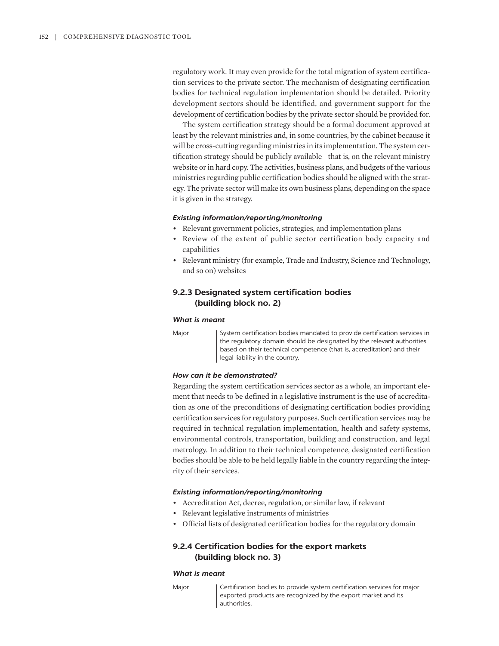regulatory work. It may even provide for the total migration of system certification services to the private sector. The mechanism of designating certification bodies for technical regulation implementation should be detailed. Priority development sectors should be identified, and government support for the development of certification bodies by the private sector should be provided for.

The system certification strategy should be a formal document approved at least by the relevant ministries and, in some countries, by the cabinet because it will be cross-cutting regarding ministries in its implementation. The system certification strategy should be publicly available—that is, on the relevant ministry website or in hard copy. The activities, business plans, and budgets of the various ministries regarding public certification bodies should be aligned with the strategy. The private sector will make its own business plans, depending on the space it is given in the strategy.

#### *Existing information/reporting/monitoring*

- Relevant government policies, strategies, and implementation plans
- Review of the extent of public sector certification body capacity and capabilities
- Relevant ministry (for example, Trade and Industry, Science and Technology, and so on) websites

### **9.2.3 Designated system certification bodies (building block no. 2)**

#### *What is meant*

Major System certification bodies mandated to provide certification services in the regulatory domain should be designated by the relevant authorities based on their technical competence (that is, accreditation) and their legal liability in the country.

### *How can it be demonstrated?*

Regarding the system certification services sector as a whole, an important element that needs to be defined in a legislative instrument is the use of accreditation as one of the preconditions of designating certification bodies providing certification services for regulatory purposes. Such certification services may be required in technical regulation implementation, health and safety systems, environmental controls, transportation, building and construction, and legal metrology. In addition to their technical competence, designated certification bodies should be able to be held legally liable in the country regarding the integrity of their services.

#### *Existing information/reporting/monitoring*

- Accreditation Act, decree, regulation, or similar law, if relevant
- Relevant legislative instruments of ministries
- Official lists of designated certification bodies for the regulatory domain

### **9.2.4 Certification bodies for the export markets (building block no. 3)**

### *What is meant*

Major **Certification bodies to provide system certification services for major** exported products are recognized by the export market and its authorities.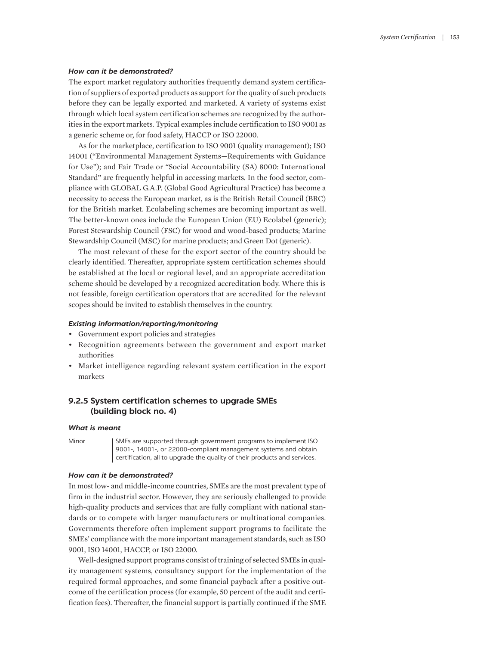#### *How can it be demonstrated?*

The export market regulatory authorities frequently demand system certification of suppliers of exported products as support for the quality of such products before they can be legally exported and marketed. A variety of systems exist through which local system certification schemes are recognized by the authorities in the export markets. Typical examples include certification to ISO 9001 as a generic scheme or, for food safety, HACCP or ISO 22000.

As for the marketplace, certification to ISO 9001 (quality management); ISO 14001 ("Environmental Management Systems—Requirements with Guidance for Use"); and Fair Trade or "Social Accountability (SA) 8000: International Standard" are frequently helpful in accessing markets. In the food sector, compliance with GLOBAL G.A.P. (Global Good Agricultural Practice) has become a necessity to access the European market, as is the British Retail Council (BRC) for the British market. Ecolabeling schemes are becoming important as well. The better-known ones include the European Union (EU) Ecolabel (generic); Forest Stewardship Council (FSC) for wood and wood-based products; Marine Stewardship Council (MSC) for marine products; and Green Dot (generic).

The most relevant of these for the export sector of the country should be clearly identified. Thereafter, appropriate system certification schemes should be established at the local or regional level, and an appropriate accreditation scheme should be developed by a recognized accreditation body. Where this is not feasible, foreign certification operators that are accredited for the relevant scopes should be invited to establish themselves in the country.

#### *Existing information/reporting/monitoring*

- Government export policies and strategies
- Recognition agreements between the government and export market authorities
- Market intelligence regarding relevant system certification in the export markets

### **9.2.5 System certification schemes to upgrade SMEs (building block no. 4)**

#### *What is meant*

Minor SMEs are supported through government programs to implement ISO 9001-, 14001-, or 22000-compliant management systems and obtain certification, all to upgrade the quality of their products and services.

#### *How can it be demonstrated?*

In most low- and middle-income countries, SMEs are the most prevalent type of firm in the industrial sector. However, they are seriously challenged to provide high-quality products and services that are fully compliant with national standards or to compete with larger manufacturers or multinational companies. Governments therefore often implement support programs to facilitate the SMEs' compliance with the more important management standards, such as ISO 9001, ISO 14001, HACCP, or ISO 22000.

Well-designed support programs consist of training of selected SMEs in quality management systems, consultancy support for the implementation of the required formal approaches, and some financial payback after a positive outcome of the certification process (for example, 50 percent of the audit and certification fees). Thereafter, the financial support is partially continued if the SME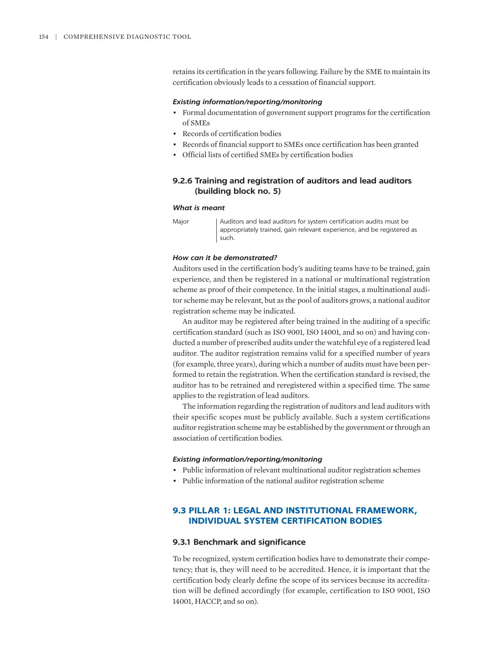retains its certification in the years following. Failure by the SME to maintain its certification obviously leads to a cessation of financial support.

#### *Existing information/reporting/monitoring*

- Formal documentation of government support programs for the certification of SMEs
- Records of certification bodies
- Records of financial support to SMEs once certification has been granted
- Official lists of certified SMEs by certification bodies

### **9.2.6 Training and registration of auditors and lead auditors (building block no. 5)**

#### *What is meant*

Major | Auditors and lead auditors for system certification audits must be appropriately trained, gain relevant experience, and be registered as such.

#### *How can it be demonstrated?*

Auditors used in the certification body's auditing teams have to be trained, gain experience, and then be registered in a national or multinational registration scheme as proof of their competence. In the initial stages, a multinational auditor scheme may be relevant, but as the pool of auditors grows, a national auditor registration scheme may be indicated.

An auditor may be registered after being trained in the auditing of a specific certification standard (such as ISO 9001, ISO 14001, and so on) and having conducted a number of prescribed audits under the watchful eye of a registered lead auditor. The auditor registration remains valid for a specified number of years (for example, three years), during which a number of audits must have been performed to retain the registration. When the certification standard is revised, the auditor has to be retrained and reregistered within a specified time. The same applies to the registration of lead auditors.

The information regarding the registration of auditors and lead auditors with their specific scopes must be publicly available. Such a system certifications auditor registration scheme may be established by the government or through an association of certification bodies.

#### *Existing information/reporting/monitoring*

- Public information of relevant multinational auditor registration schemes
- Public information of the national auditor registration scheme

### **9.3 PILLAR 1: LEGAL AND INSTITUTIONAL FRAMEWORK, INDIVIDUAL SYSTEM CERTIFICATION BODIES**

#### **9.3.1 Benchmark and significance**

To be recognized, system certification bodies have to demonstrate their competency; that is, they will need to be accredited. Hence, it is important that the certification body clearly define the scope of its services because its accreditation will be defined accordingly (for example, certification to ISO 9001, ISO 14001, HACCP, and so on).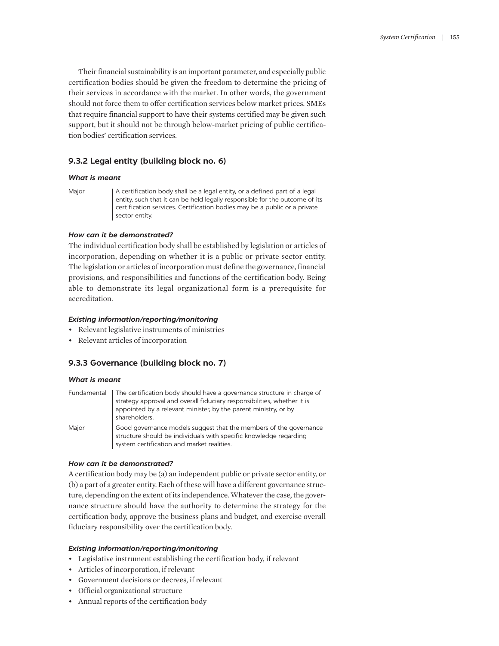Their financial sustainability is an important parameter, and especially public certification bodies should be given the freedom to determine the pricing of their services in accordance with the market. In other words, the government should not force them to offer certification services below market prices. SMEs that require financial support to have their systems certified may be given such support, but it should not be through below-market pricing of public certification bodies' certification services.

### **9.3.2 Legal entity (building block no. 6)**

### *What is meant*

Major  $|$  A certification body shall be a legal entity, or a defined part of a legal entity, such that it can be held legally responsible for the outcome of its certification services. Certification bodies may be a public or a private sector entity.

### *How can it be demonstrated?*

The individual certification body shall be established by legislation or articles of incorporation, depending on whether it is a public or private sector entity. The legislation or articles of incorporation must define the governance, financial provisions, and responsibilities and functions of the certification body. Being able to demonstrate its legal organizational form is a prerequisite for accreditation.

### *Existing information/reporting/monitoring*

- Relevant legislative instruments of ministries
- Relevant articles of incorporation

### **9.3.3 Governance (building block no. 7)**

### *What is meant*

|       | Fundamental   The certification body should have a governance structure in charge of<br>strategy approval and overall fiduciary responsibilities, whether it is<br>appointed by a relevant minister, by the parent ministry, or by<br>shareholders. |
|-------|-----------------------------------------------------------------------------------------------------------------------------------------------------------------------------------------------------------------------------------------------------|
| Major | Good governance models suggest that the members of the governance<br>structure should be individuals with specific knowledge regarding<br>system certification and market realities.                                                                |

### *How can it be demonstrated?*

A certification body may be (a) an independent public or private sector entity, or (b) a part of a greater entity. Each of these will have a different governance structure, depending on the extent of its independence. Whatever the case, the governance structure should have the authority to determine the strategy for the certification body, approve the business plans and budget, and exercise overall fiduciary responsibility over the certification body.

### *Existing information/reporting/monitoring*

- Legislative instrument establishing the certification body, if relevant
- Articles of incorporation, if relevant
- Government decisions or decrees, if relevant
- Official organizational structure
- Annual reports of the certification body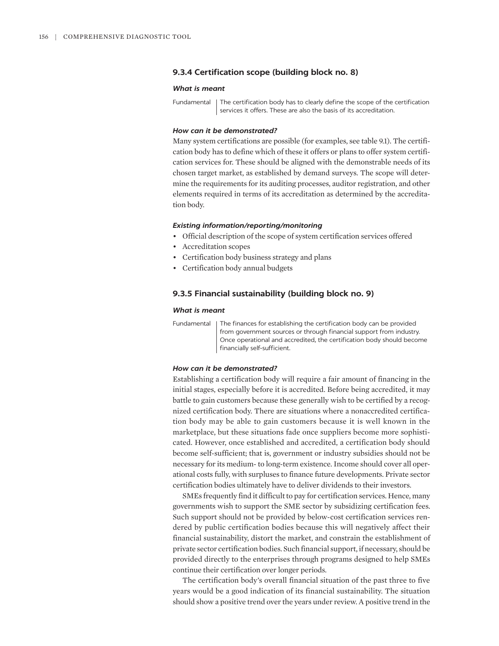#### **9.3.4 Certification scope (building block no. 8)**

#### *What is meant*

Fundamental | The certification body has to clearly define the scope of the certification services it offers. These are also the basis of its accreditation.

#### *How can it be demonstrated?*

Many system certifications are possible (for examples, see table 9.1). The certification body has to define which of these it offers or plans to offer system certification services for. These should be aligned with the demonstrable needs of its chosen target market, as established by demand surveys. The scope will determine the requirements for its auditing processes, auditor registration, and other elements required in terms of its accreditation as determined by the accreditation body.

#### *Existing information/reporting/monitoring*

- Official description of the scope of system certification services offered
- Accreditation scopes
- Certification body business strategy and plans
- Certification body annual budgets

### **9.3.5 Financial sustainability (building block no. 9)**

#### *What is meant*

Fundamental | The finances for establishing the certification body can be provided from government sources or through financial support from industry. Once operational and accredited, the certification body should become financially self-sufficient.

#### *How can it be demonstrated?*

Establishing a certification body will require a fair amount of financing in the initial stages, especially before it is accredited. Before being accredited, it may battle to gain customers because these generally wish to be certified by a recognized certification body. There are situations where a nonaccredited certification body may be able to gain customers because it is well known in the marketplace, but these situations fade once suppliers become more sophisticated. However, once established and accredited, a certification body should become self-sufficient; that is, government or industry subsidies should not be necessary for its medium- to long-term existence. Income should cover all operational costs fully, with surpluses to finance future developments. Private sector certification bodies ultimately have to deliver dividends to their investors.

SMEs frequently find it difficult to pay for certification services. Hence, many governments wish to support the SME sector by subsidizing certification fees. Such support should not be provided by below-cost certification services rendered by public certification bodies because this will negatively affect their financial sustainability, distort the market, and constrain the establishment of private sector certification bodies. Such financial support, if necessary, should be provided directly to the enterprises through programs designed to help SMEs continue their certification over longer periods.

The certification body's overall financial situation of the past three to five years would be a good indication of its financial sustainability. The situation should show a positive trend over the years under review. A positive trend in the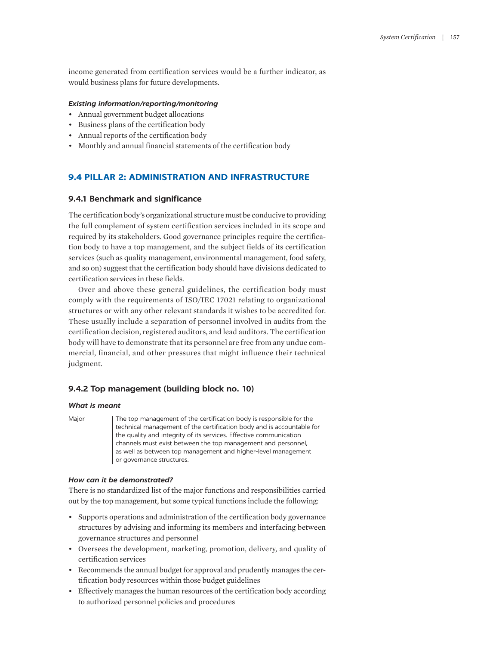income generated from certification services would be a further indicator, as would business plans for future developments.

### *Existing information/reporting/monitoring*

- Annual government budget allocations
- Business plans of the certification body
- Annual reports of the certification body
- Monthly and annual financial statements of the certification body

## **9.4 PILLAR 2: ADMINISTRATION AND INFRASTRUCTURE**

### **9.4.1 Benchmark and significance**

The certification body's organizational structure must be conducive to providing the full complement of system certification services included in its scope and required by its stakeholders. Good governance principles require the certification body to have a top management, and the subject fields of its certification services (such as quality management, environmental management, food safety, and so on) suggest that the certification body should have divisions dedicated to certification services in these fields.

Over and above these general guidelines, the certification body must comply with the requirements of ISO/IEC 17021 relating to organizational structures or with any other relevant standards it wishes to be accredited for. These usually include a separation of personnel involved in audits from the certification decision, registered auditors, and lead auditors. The certification body will have to demonstrate that its personnel are free from any undue commercial, financial, and other pressures that might influence their technical judgment.

### **9.4.2 Top management (building block no. 10)**

#### *What is meant*

Major The top management of the certification body is responsible for the technical management of the certification body and is accountable for the quality and integrity of its services. Effective communication channels must exist between the top management and personnel, as well as between top management and higher-level management or governance structures.

### *How can it be demonstrated?*

There is no standardized list of the major functions and responsibilities carried out by the top management, but some typical functions include the following:

- Supports operations and administration of the certification body governance structures by advising and informing its members and interfacing between governance structures and personnel
- Oversees the development, marketing, promotion, delivery, and quality of certification services
- Recommends the annual budget for approval and prudently manages the certification body resources within those budget guidelines
- Effectively manages the human resources of the certification body according to authorized personnel policies and procedures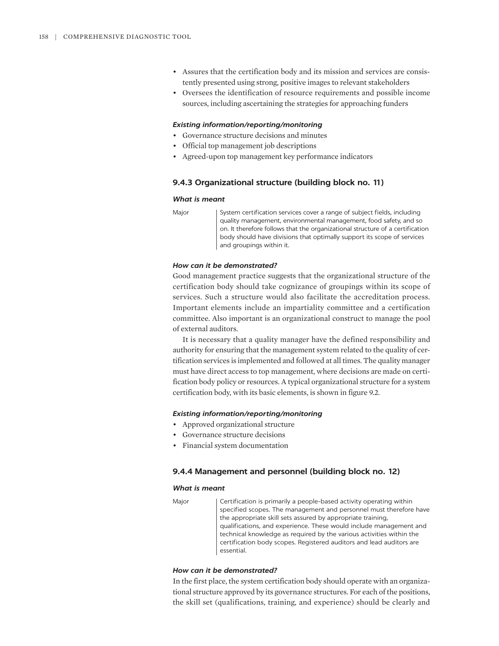- Assures that the certification body and its mission and services are consistently presented using strong, positive images to relevant stakeholders
- Oversees the identification of resource requirements and possible income sources, including ascertaining the strategies for approaching funders

#### *Existing information/reporting/monitoring*

- Governance structure decisions and minutes
- Official top management job descriptions
- Agreed-upon top management key performance indicators

#### **9.4.3 Organizational structure (building block no. 11)**

#### *What is meant*

Major System certification services cover a range of subject fields, including quality management, environmental management, food safety, and so on. It therefore follows that the organizational structure of a certification body should have divisions that optimally support its scope of services and groupings within it.

### *How can it be demonstrated?*

Good management practice suggests that the organizational structure of the certification body should take cognizance of groupings within its scope of services. Such a structure would also facilitate the accreditation process. Important elements include an impartiality committee and a certification committee. Also important is an organizational construct to manage the pool of external auditors.

It is necessary that a quality manager have the defined responsibility and authority for ensuring that the management system related to the quality of certification services is implemented and followed at all times. The quality manager must have direct access to top management, where decisions are made on certification body policy or resources. A typical organizational structure for a system certification body, with its basic elements, is shown in figure 9.2.

#### *Existing information/reporting/monitoring*

- Approved organizational structure
- Governance structure decisions
- Financial system documentation

#### **9.4.4 Management and personnel (building block no. 12)**

#### *What is meant*

Major | Certification is primarily a people-based activity operating within specified scopes. The management and personnel must therefore have the appropriate skill sets assured by appropriate training, qualifications, and experience. These would include management and technical knowledge as required by the various activities within the certification body scopes. Registered auditors and lead auditors are essential.

#### *How can it be demonstrated?*

In the first place, the system certification body should operate with an organizational structure approved by its governance structures. For each of the positions, the skill set (qualifications, training, and experience) should be clearly and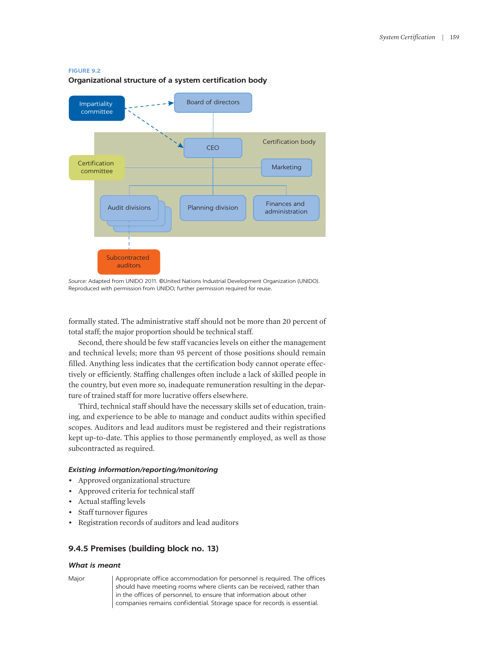#### **FIGURE 9.2**

#### **Organizational structure of a system certification body**



*Source:* Adapted from UNIDO 2011. ©United Nations Industrial Development Organization (UNIDO). Reproduced with permission from UNIDO; further permission required for reuse.

formally stated. The administrative staff should not be more than 20 percent of total staff; the major proportion should be technical staff.

Second, there should be few staff vacancies levels on either the management and technical levels; more than 95 percent of those positions should remain filled. Anything less indicates that the certification body cannot operate effectively or efficiently. Staffing challenges often include a lack of skilled people in the country, but even more so, inadequate remuneration resulting in the departure of trained staff for more lucrative offers elsewhere.

Third, technical staff should have the necessary skills set of education, training, and experience to be able to manage and conduct audits within specified scopes. Auditors and lead auditors must be registered and their registrations kept up-to-date. This applies to those permanently employed, as well as those subcontracted as required.

#### *Existing information/reporting/monitoring*

- Approved organizational structure
- Approved criteria for technical staff
- Actual staffing levels
- Staff turnover figures
- Registration records of auditors and lead auditors

### **9.4.5 Premises (building block no. 13)**

#### *What is meant*

Major | Appropriate office accommodation for personnel is required. The offices should have meeting rooms where clients can be received, rather than in the offices of personnel, to ensure that information about other companies remains confidential. Storage space for records is essential.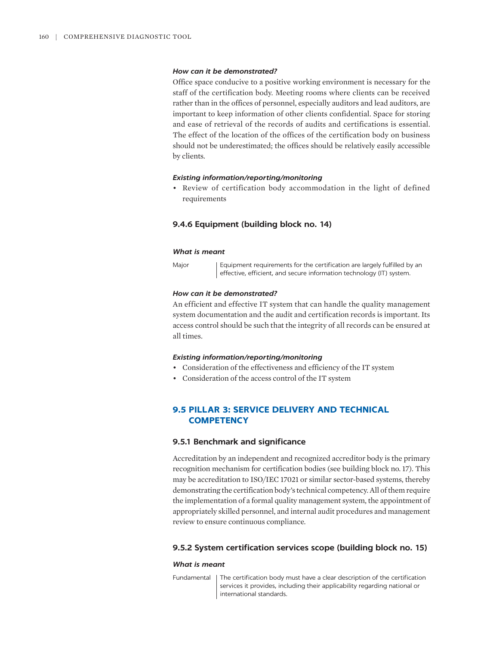#### *How can it be demonstrated?*

Office space conducive to a positive working environment is necessary for the staff of the certification body. Meeting rooms where clients can be received rather than in the offices of personnel, especially auditors and lead auditors, are important to keep information of other clients confidential. Space for storing and ease of retrieval of the records of audits and certifications is essential. The effect of the location of the offices of the certification body on business should not be underestimated; the offices should be relatively easily accessible by clients.

#### *Existing information/reporting/monitoring*

• Review of certification body accommodation in the light of defined requirements

### **9.4.6 Equipment (building block no. 14)**

#### *What is meant*

Major | Equipment requirements for the certification are largely fulfilled by an effective, efficient, and secure information technology (IT) system.

#### *How can it be demonstrated?*

An efficient and effective IT system that can handle the quality management system documentation and the audit and certification records is important. Its access control should be such that the integrity of all records can be ensured at all times.

#### *Existing information/reporting/monitoring*

- Consideration of the effectiveness and efficiency of the IT system
- Consideration of the access control of the IT system

### **9.5 PILLAR 3: SERVICE DELIVERY AND TECHNICAL COMPETENCY**

#### **9.5.1 Benchmark and significance**

Accreditation by an independent and recognized accreditor body is the primary recognition mechanism for certification bodies (see building block no. 17). This may be accreditation to ISO/IEC 17021 or similar sector-based systems, thereby demonstrating the certification body's technical competency. All of them require the implementation of a formal quality management system, the appointment of appropriately skilled personnel, and internal audit procedures and management review to ensure continuous compliance.

### **9.5.2 System certification services scope (building block no. 15)**

#### *What is meant*

Fundamental | The certification body must have a clear description of the certification services it provides, including their applicability regarding national or international standards.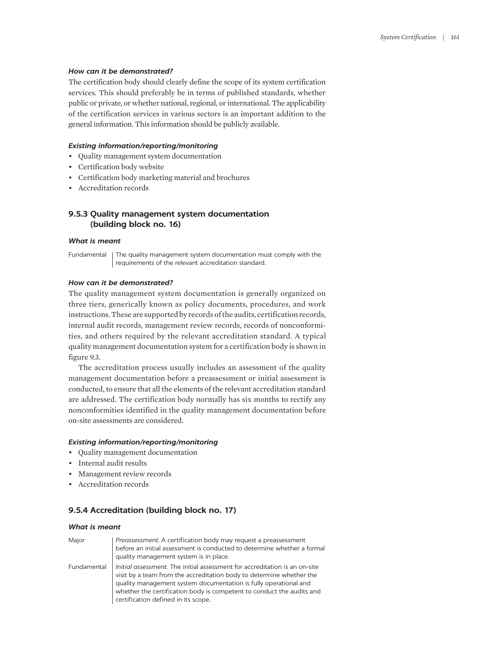#### *How can it be demonstrated?*

The certification body should clearly define the scope of its system certification services. This should preferably be in terms of published standards, whether public or private, or whether national, regional, or international. The applicability of the certification services in various sectors is an important addition to the general information. This information should be publicly available.

### *Existing information/reporting/monitoring*

- Quality management system documentation
- Certification body website
- Certification body marketing material and brochures
- Accreditation records

### **9.5.3 Quality management system documentation (building block no. 16)**

### *What is meant*

Fundamental | The quality management system documentation must comply with the requirements of the relevant accreditation standard.

### *How can it be demonstrated?*

The quality management system documentation is generally organized on three tiers, generically known as policy documents, procedures, and work instructions. These are supported by records of the audits, certification records, internal audit records, management review records, records of nonconformities, and others required by the relevant accreditation standard. A typical quality management documentation system for a certification body is shown in figure 9.3.

The accreditation process usually includes an assessment of the quality management documentation before a preassessment or initial assessment is conducted, to ensure that all the elements of the relevant accreditation standard are addressed. The certification body normally has six months to rectify any nonconformities identified in the quality management documentation before on-site assessments are considered.

### *Existing information/reporting/monitoring*

- Quality management documentation
- Internal audit results
- Management review records
- Accreditation records

### **9.5.4 Accreditation (building block no. 17)**

#### *What is meant*

| Major       | Preassessment. A certification body may request a preassessment<br>before an initial assessment is conducted to determine whether a formal<br>quality management system is in place.                                                                                                                                                   |
|-------------|----------------------------------------------------------------------------------------------------------------------------------------------------------------------------------------------------------------------------------------------------------------------------------------------------------------------------------------|
| Fundamental | Initial assessment. The initial assessment for accreditation is an on-site<br>visit by a team from the accreditation body to determine whether the<br>quality management system documentation is fully operational and<br>whether the certification body is competent to conduct the audits and<br>certification defined in its scope. |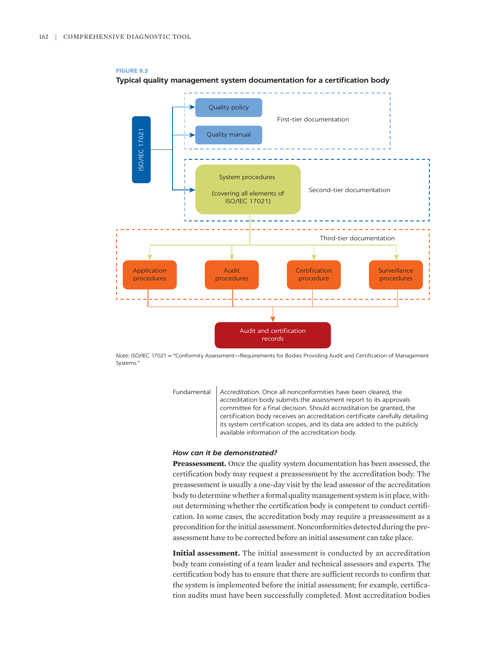

**FIGURE 9.3 Typical quality management system documentation for a certification body**

*Note:* ISO/IEC 17021 = "Conformity Assessment—Requirements for Bodies Providing Audit and Certification of Management Systems."

> Fundamental *Accreditation.* Once all nonconformities have been cleared, the accreditation body submits the assessment report to its approvals committee for a final decision. Should accreditation be granted, the certification body receives an accreditation certificate carefully detailing its system certification scopes, and its data are added to the publicly available information of the accreditation body.

### *How can it be demonstrated?*

**Preassessment.** Once the quality system documentation has been assessed, the certification body may request a preassessment by the accreditation body. The preassessment is usually a one-day visit by the lead assessor of the accreditation body to determine whether a formal quality management system is in place, without determining whether the certification body is competent to conduct certification. In some cases, the accreditation body may require a preassessment as a precondition for the initial assessment. Nonconformities detected during the preassessment have to be corrected before an initial assessment can take place.

**Initial assessment.** The initial assessment is conducted by an accreditation body team consisting of a team leader and technical assessors and experts. The certification body has to ensure that there are sufficient records to confirm that the system is implemented before the initial assessment; for example, certification audits must have been successfully completed. Most accreditation bodies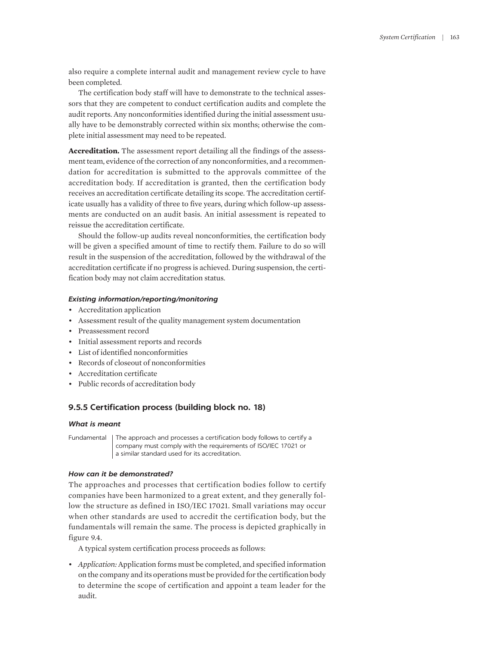also require a complete internal audit and management review cycle to have been completed.

The certification body staff will have to demonstrate to the technical assessors that they are competent to conduct certification audits and complete the audit reports. Any nonconformities identified during the initial assessment usually have to be demonstrably corrected within six months; otherwise the complete initial assessment may need to be repeated.

**Accreditation.** The assessment report detailing all the findings of the assessment team, evidence of the correction of any nonconformities, and a recommendation for accreditation is submitted to the approvals committee of the accreditation body. If accreditation is granted, then the certification body receives an accreditation certificate detailing its scope. The accreditation certificate usually has a validity of three to five years, during which follow-up assessments are conducted on an audit basis. An initial assessment is repeated to reissue the accreditation certificate.

Should the follow-up audits reveal nonconformities, the certification body will be given a specified amount of time to rectify them. Failure to do so will result in the suspension of the accreditation, followed by the withdrawal of the accreditation certificate if no progress is achieved. During suspension, the certification body may not claim accreditation status.

#### *Existing information/reporting/monitoring*

- Accreditation application
- Assessment result of the quality management system documentation
- Preassessment record
- Initial assessment reports and records
- List of identified nonconformities
- Records of closeout of nonconformities
- Accreditation certificate
- Public records of accreditation body

### **9.5.5 Certification process (building block no. 18)**

#### *What is meant*

Fundamental | The approach and processes a certification body follows to certify a company must comply with the requirements of ISO/IEC 17021 or a similar standard used for its accreditation.

#### *How can it be demonstrated?*

The approaches and processes that certification bodies follow to certify companies have been harmonized to a great extent, and they generally follow the structure as defined in ISO/IEC 17021. Small variations may occur when other standards are used to accredit the certification body, but the fundamentals will remain the same. The process is depicted graphically in figure 9.4.

A typical system certification process proceeds as follows:

• *Application:* Application forms must be completed, and specified information on the company and its operations must be provided for the certification body to determine the scope of certification and appoint a team leader for the audit.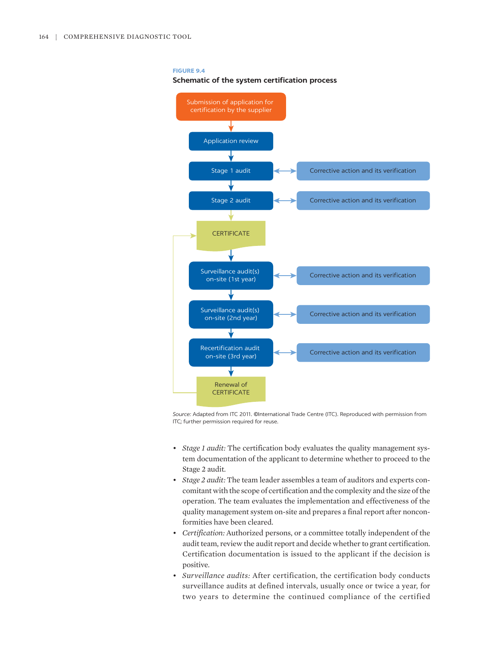#### **FIGURE 9.4**

**Schematic of the system certification process**



*Source:* Adapted from ITC 2011. ©International Trade Centre (ITC). Reproduced with permission from ITC; further permission required for reuse.

- *Stage 1 audit:* The certification body evaluates the quality management system documentation of the applicant to determine whether to proceed to the Stage 2 audit.
- *Stage 2 audit:* The team leader assembles a team of auditors and experts concomitant with the scope of certification and the complexity and the size of the operation. The team evaluates the implementation and effectiveness of the quality management system on-site and prepares a final report after nonconformities have been cleared.
- *Certification:* Authorized persons, or a committee totally independent of the audit team, review the audit report and decide whether to grant certification. Certification documentation is issued to the applicant if the decision is positive.
- *Surveillance audits:* After certification, the certification body conducts surveillance audits at defined intervals, usually once or twice a year, for two years to determine the continued compliance of the certified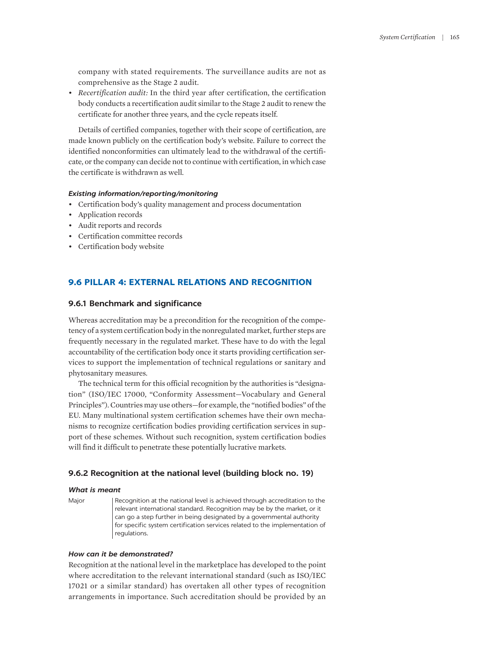company with stated requirements. The surveillance audits are not as comprehensive as the Stage 2 audit.

• *Recertification audit:* In the third year after certification, the certification body conducts a recertification audit similar to the Stage 2 audit to renew the certificate for another three years, and the cycle repeats itself.

Details of certified companies, together with their scope of certification, are made known publicly on the certification body's website. Failure to correct the identified nonconformities can ultimately lead to the withdrawal of the certificate, or the company can decide not to continue with certification, in which case the certificate is withdrawn as well.

### *Existing information/reporting/monitoring*

- Certification body's quality management and process documentation
- Application records
- Audit reports and records
- Certification committee records
- Certification body website

### **9.6 PILLAR 4: EXTERNAL RELATIONS AND RECOGNITION**

#### **9.6.1 Benchmark and significance**

Whereas accreditation may be a precondition for the recognition of the competency of a system certification body in the nonregulated market, further steps are frequently necessary in the regulated market. These have to do with the legal accountability of the certification body once it starts providing certification services to support the implementation of technical regulations or sanitary and phytosanitary measures.

The technical term for this official recognition by the authorities is "designation" (ISO/IEC 17000, "Conformity Assessment—Vocabulary and General Principles"). Countries may use others—for example, the "notified bodies" of the EU. Many multinational system certification schemes have their own mechanisms to recognize certification bodies providing certification services in support of these schemes. Without such recognition, system certification bodies will find it difficult to penetrate these potentially lucrative markets.

### **9.6.2 Recognition at the national level (building block no. 19)**

#### *What is meant*

Major Recognition at the national level is achieved through accreditation to the relevant international standard. Recognition may be by the market, or it can go a step further in being designated by a governmental authority for specific system certification services related to the implementation of regulations.

### *How can it be demonstrated?*

Recognition at the national level in the marketplace has developed to the point where accreditation to the relevant international standard (such as ISO/IEC 17021 or a similar standard) has overtaken all other types of recognition arrangements in importance. Such accreditation should be provided by an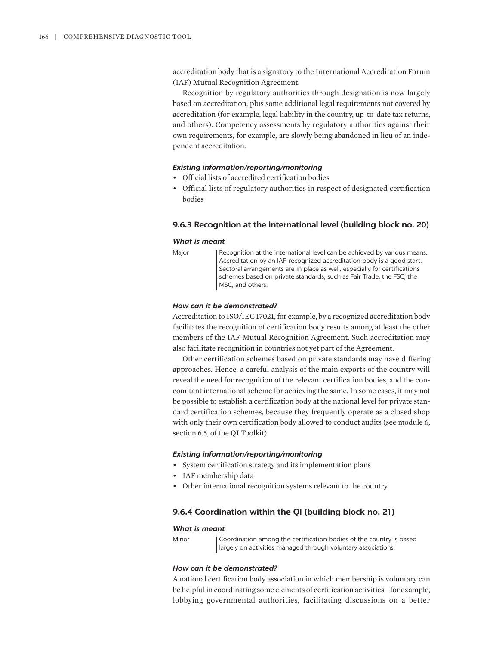accreditation body that is a signatory to the International Accreditation Forum (IAF) Mutual Recognition Agreement.

Recognition by regulatory authorities through designation is now largely based on accreditation, plus some additional legal requirements not covered by accreditation (for example, legal liability in the country, up-to-date tax returns, and others). Competency assessments by regulatory authorities against their own requirements, for example, are slowly being abandoned in lieu of an independent accreditation.

#### *Existing information/reporting/monitoring*

- Official lists of accredited certification bodies
- Official lists of regulatory authorities in respect of designated certification bodies

#### **9.6.3 Recognition at the international level (building block no. 20)**

#### *What is meant*

Major Recognition at the international level can be achieved by various means. Accreditation by an IAF-recognized accreditation body is a good start. Sectoral arrangements are in place as well, especially for certifications schemes based on private standards, such as Fair Trade, the FSC, the MSC, and others.

#### *How can it be demonstrated?*

Accreditation to ISO/IEC 17021, for example, by a recognized accreditation body facilitates the recognition of certification body results among at least the other members of the IAF Mutual Recognition Agreement. Such accreditation may also facilitate recognition in countries not yet part of the Agreement.

Other certification schemes based on private standards may have differing approaches. Hence, a careful analysis of the main exports of the country will reveal the need for recognition of the relevant certification bodies, and the concomitant international scheme for achieving the same. In some cases, it may not be possible to establish a certification body at the national level for private standard certification schemes, because they frequently operate as a closed shop with only their own certification body allowed to conduct audits (see module 6, section 6.5, of the QI Toolkit).

#### *Existing information/reporting/monitoring*

- System certification strategy and its implementation plans
- IAF membership data
- Other international recognition systems relevant to the country

#### **9.6.4 Coordination within the QI (building block no. 21)**

#### *What is meant*

Minor Coordination among the certification bodies of the country is based largely on activities managed through voluntary associations.

#### *How can it be demonstrated?*

A national certification body association in which membership is voluntary can be helpful in coordinating some elements of certification activities—for example, lobbying governmental authorities, facilitating discussions on a better